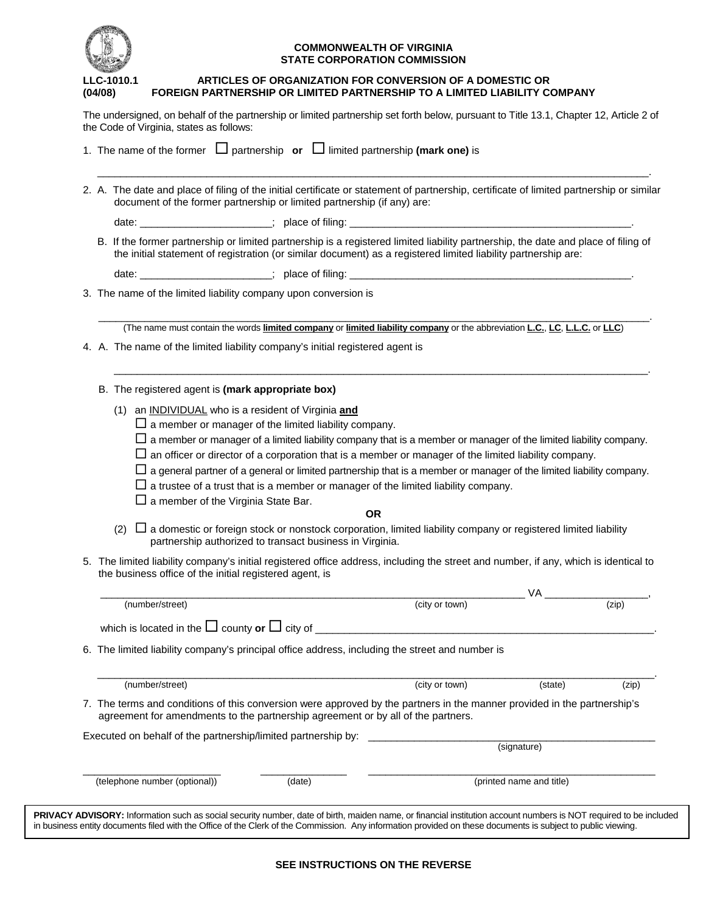

#### **COMMONWEALTH OF VIRGINIA STATE CORPORATION COMMISSION**

#### **LLC-1010.1 ARTICLES OF ORGANIZATION FOR CONVERSION OF A DOMESTIC OR (04/08) FOREIGN PARTNERSHIP OR LIMITED PARTNERSHIP TO A LIMITED LIABILITY COMPANY**

The undersigned, on behalf of the partnership or limited partnership set forth below, pursuant to Title 13.1, Chapter 12, Article 2 of the Code of Virginia, states as follows:

|  |                                                                                                                                                                                                                                                | document of the former partnership or limited partnership (if any) are:          |  | 2. A. The date and place of filing of the initial certificate or statement of partnership, certificate of limited partnership or similar                                                                                                             |             |       |
|--|------------------------------------------------------------------------------------------------------------------------------------------------------------------------------------------------------------------------------------------------|----------------------------------------------------------------------------------|--|------------------------------------------------------------------------------------------------------------------------------------------------------------------------------------------------------------------------------------------------------|-------------|-------|
|  |                                                                                                                                                                                                                                                |                                                                                  |  |                                                                                                                                                                                                                                                      |             |       |
|  |                                                                                                                                                                                                                                                |                                                                                  |  | B. If the former partnership or limited partnership is a registered limited liability partnership, the date and place of filing of<br>the initial statement of registration (or similar document) as a registered limited liability partnership are: |             |       |
|  |                                                                                                                                                                                                                                                |                                                                                  |  |                                                                                                                                                                                                                                                      |             |       |
|  |                                                                                                                                                                                                                                                | 3. The name of the limited liability company upon conversion is                  |  |                                                                                                                                                                                                                                                      |             |       |
|  |                                                                                                                                                                                                                                                |                                                                                  |  | (The name must contain the words limited company or limited liability company or the abbreviation L.C., L.C. L.L.C. or LLC)                                                                                                                          |             |       |
|  | 4. A. The name of the limited liability company's initial registered agent is                                                                                                                                                                  |                                                                                  |  |                                                                                                                                                                                                                                                      |             |       |
|  |                                                                                                                                                                                                                                                | B. The registered agent is (mark appropriate box)                                |  |                                                                                                                                                                                                                                                      |             |       |
|  | (1) an INDIVIDUAL who is a resident of Virginia and<br>$\Box$ a member or manager of the limited liability company.<br>$\Box$ a member or manager of a limited liability company that is a member or manager of the limited liability company. |                                                                                  |  |                                                                                                                                                                                                                                                      |             |       |
|  |                                                                                                                                                                                                                                                |                                                                                  |  | $\Box$ an officer or director of a corporation that is a member or manager of the limited liability company.                                                                                                                                         |             |       |
|  |                                                                                                                                                                                                                                                | $\Box$ a member of the Virginia State Bar.                                       |  | $\Box$ a general partner of a general or limited partnership that is a member or manager of the limited liability company.<br>$\Box$ a trustee of a trust that is a member or manager of the limited liability company.                              |             |       |
|  |                                                                                                                                                                                                                                                | (2)<br>partnership authorized to transact business in Virginia.                  |  | <b>OR</b><br>$\Box$ a domestic or foreign stock or nonstock corporation, limited liability company or registered limited liability                                                                                                                   |             |       |
|  |                                                                                                                                                                                                                                                | the business office of the initial registered agent, is                          |  | 5. The limited liability company's initial registered office address, including the street and number, if any, which is identical to                                                                                                                 |             |       |
|  |                                                                                                                                                                                                                                                |                                                                                  |  |                                                                                                                                                                                                                                                      | VA.         |       |
|  |                                                                                                                                                                                                                                                | (number/street)                                                                  |  | (city or town)                                                                                                                                                                                                                                       |             | (zip) |
|  |                                                                                                                                                                                                                                                |                                                                                  |  | 6. The limited liability company's principal office address, including the street and number is                                                                                                                                                      |             |       |
|  |                                                                                                                                                                                                                                                | (number/street)                                                                  |  | (city or town)                                                                                                                                                                                                                                       | (state)     | (zip) |
|  |                                                                                                                                                                                                                                                | agreement for amendments to the partnership agreement or by all of the partners. |  | 7. The terms and conditions of this conversion were approved by the partners in the manner provided in the partnership's                                                                                                                             |             |       |
|  |                                                                                                                                                                                                                                                | Executed on behalf of the partnership/limited partnership by:                    |  |                                                                                                                                                                                                                                                      | (signature) |       |